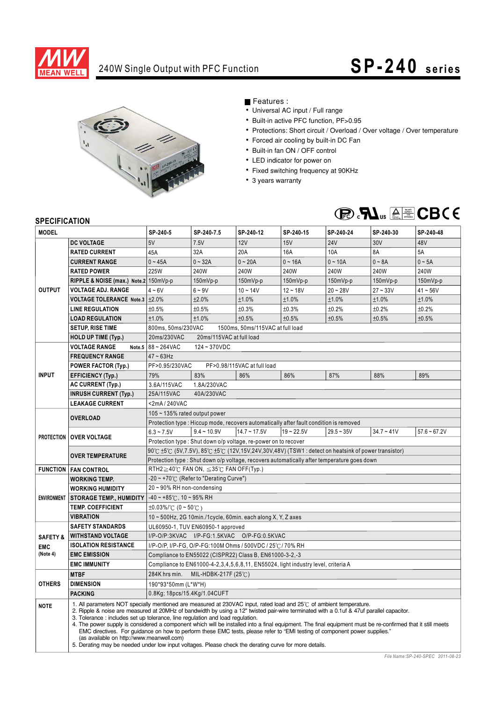

## 240W Single Output with PFC Function **SP-240** series



#### Features :

- Universal AC input / Full range
- Built-in active PFC function, PF>0.95
- Protections: Short circuit / Overload / Over voltage / Over temperature
- Forced air cooling by built-in DC Fan
- Built-in fan ON / OFF control
- LED indicator for power on
- Fixed switching frequency at 90KHz
- 3 years warranty



### **SPECIFICATION**

| <b>MODEL</b>                                  |                                                                                                                                                                                                                                                                                                                                                                                                                                                                                                                                                                                                                                                                                                                                                                                                    | SP-240-5                                                                                                                 | SP-240-7.5          | SP-240-12      | SP-240-15    | SP-240-24    | SP-240-30    | SP-240-48      |
|-----------------------------------------------|----------------------------------------------------------------------------------------------------------------------------------------------------------------------------------------------------------------------------------------------------------------------------------------------------------------------------------------------------------------------------------------------------------------------------------------------------------------------------------------------------------------------------------------------------------------------------------------------------------------------------------------------------------------------------------------------------------------------------------------------------------------------------------------------------|--------------------------------------------------------------------------------------------------------------------------|---------------------|----------------|--------------|--------------|--------------|----------------|
| <b>OUTPUT</b>                                 | <b>DC VOLTAGE</b>                                                                                                                                                                                                                                                                                                                                                                                                                                                                                                                                                                                                                                                                                                                                                                                  | 5V                                                                                                                       | 7.5V                | 12V            | 15V          | <b>24V</b>   | 30V          | 48V            |
|                                               | <b>RATED CURRENT</b>                                                                                                                                                                                                                                                                                                                                                                                                                                                                                                                                                                                                                                                                                                                                                                               | 45A                                                                                                                      | 32A                 | 20A            | 16A          | 10A          | 8A           | 5A             |
|                                               | <b>CURRENT RANGE</b>                                                                                                                                                                                                                                                                                                                                                                                                                                                                                                                                                                                                                                                                                                                                                                               | $0 - 45A$                                                                                                                | $0 - 32A$           | $0 - 20A$      | $0 - 16A$    | $0 - 10A$    | $0 - 8A$     | $0 - 5A$       |
|                                               | <b>RATED POWER</b>                                                                                                                                                                                                                                                                                                                                                                                                                                                                                                                                                                                                                                                                                                                                                                                 | 225W                                                                                                                     | 240W                | 240W           | 240W         | 240W         | 240W         | 240W           |
|                                               | RIPPLE & NOISE (max.) Note.2 150mVp-p                                                                                                                                                                                                                                                                                                                                                                                                                                                                                                                                                                                                                                                                                                                                                              |                                                                                                                          | 150mVp-p            | 150mVp-p       | 150mVp-p     | 150mVp-p     | 150mVp-p     | 150mVp-p       |
|                                               | <b>VOLTAGE ADJ. RANGE</b>                                                                                                                                                                                                                                                                                                                                                                                                                                                                                                                                                                                                                                                                                                                                                                          | $4 - 6V$                                                                                                                 | $6 - 9V$            | $10 - 14V$     | $12 - 18V$   | $20 - 28V$   | $27 - 33V$   | $41 - 56V$     |
|                                               | VOLTAGE TOLERANCE Note.3 ±2.0%                                                                                                                                                                                                                                                                                                                                                                                                                                                                                                                                                                                                                                                                                                                                                                     |                                                                                                                          | ±2.0%               | ±1.0%          | ±1.0%        | ±1.0%        | ±1.0%        | ±1.0%          |
|                                               | <b>LINE REGULATION</b>                                                                                                                                                                                                                                                                                                                                                                                                                                                                                                                                                                                                                                                                                                                                                                             | ±0.5%                                                                                                                    | ±0.5%               | ±0.3%          | ±0.3%        | ±0.2%        | ±0.2%        | ±0.2%          |
|                                               | <b>LOAD REGULATION</b>                                                                                                                                                                                                                                                                                                                                                                                                                                                                                                                                                                                                                                                                                                                                                                             | ±1.0%                                                                                                                    | ±1.0%               | ±0.5%          | ±0.5%        | ±0.5%        | ±0.5%        | ±0.5%          |
|                                               | <b>SETUP, RISE TIME</b>                                                                                                                                                                                                                                                                                                                                                                                                                                                                                                                                                                                                                                                                                                                                                                            | 800ms, 50ms/230VAC<br>1500ms, 50ms/115VAC at full load                                                                   |                     |                |              |              |              |                |
|                                               | <b>HOLD UP TIME (Typ.)</b>                                                                                                                                                                                                                                                                                                                                                                                                                                                                                                                                                                                                                                                                                                                                                                         | 20ms/230VAC<br>20ms/115VAC at full load                                                                                  |                     |                |              |              |              |                |
| <b>INPUT</b>                                  | <b>VOLTAGE RANGE</b><br>Note.5                                                                                                                                                                                                                                                                                                                                                                                                                                                                                                                                                                                                                                                                                                                                                                     | 88~264VAC<br>124~370VDC                                                                                                  |                     |                |              |              |              |                |
|                                               | <b>FREQUENCY RANGE</b>                                                                                                                                                                                                                                                                                                                                                                                                                                                                                                                                                                                                                                                                                                                                                                             | $47 - 63$ Hz                                                                                                             |                     |                |              |              |              |                |
|                                               | <b>POWER FACTOR (Typ.)</b>                                                                                                                                                                                                                                                                                                                                                                                                                                                                                                                                                                                                                                                                                                                                                                         | PF>0.95/230VAC<br>PF>0.98/115VAC at full load                                                                            |                     |                |              |              |              |                |
|                                               | <b>EFFICIENCY (Typ.)</b>                                                                                                                                                                                                                                                                                                                                                                                                                                                                                                                                                                                                                                                                                                                                                                           | 79%                                                                                                                      | 83%                 | 86%            | 86%          | 87%          | 88%          | 89%            |
|                                               | <b>AC CURRENT (Typ.)</b>                                                                                                                                                                                                                                                                                                                                                                                                                                                                                                                                                                                                                                                                                                                                                                           | 1.8A/230VAC<br>3.6A/115VAC                                                                                               |                     |                |              |              |              |                |
|                                               | <b>INRUSH CURRENT (Typ.)</b>                                                                                                                                                                                                                                                                                                                                                                                                                                                                                                                                                                                                                                                                                                                                                                       | 25A/115VAC<br>40A/230VAC                                                                                                 |                     |                |              |              |              |                |
|                                               | <b>LEAKAGE CURRENT</b>                                                                                                                                                                                                                                                                                                                                                                                                                                                                                                                                                                                                                                                                                                                                                                             | <2mA/240VAC                                                                                                              |                     |                |              |              |              |                |
|                                               | <b>OVERLOAD</b>                                                                                                                                                                                                                                                                                                                                                                                                                                                                                                                                                                                                                                                                                                                                                                                    | 105 ~ 135% rated output power                                                                                            |                     |                |              |              |              |                |
|                                               |                                                                                                                                                                                                                                                                                                                                                                                                                                                                                                                                                                                                                                                                                                                                                                                                    | Protection type : Hiccup mode, recovers automatically after fault condition is removed                                   |                     |                |              |              |              |                |
|                                               | <b>PROTECTION   OVER VOLTAGE</b>                                                                                                                                                                                                                                                                                                                                                                                                                                                                                                                                                                                                                                                                                                                                                                   | $6.3 - 7.5V$                                                                                                             | $9.4 - 10.9V$       | $14.7 - 17.5V$ | $19 - 22.5V$ | $29.5 - 35V$ | $34.7 - 41V$ | $57.6 - 67.2V$ |
|                                               |                                                                                                                                                                                                                                                                                                                                                                                                                                                                                                                                                                                                                                                                                                                                                                                                    | Protection type: Shut down o/p voltage, re-power on to recover                                                           |                     |                |              |              |              |                |
|                                               | <b>OVER TEMPERATURE</b>                                                                                                                                                                                                                                                                                                                                                                                                                                                                                                                                                                                                                                                                                                                                                                            | $90^{\circ}$ C ±5°C (5V,7.5V), $85^{\circ}$ C ±5°C (12V,15V,24V,30V,48V) (TSW1 : detect on heatsink of power transistor) |                     |                |              |              |              |                |
|                                               |                                                                                                                                                                                                                                                                                                                                                                                                                                                                                                                                                                                                                                                                                                                                                                                                    | Protection type : Shut down o/p voltage, recovers automatically after temperature goes down                              |                     |                |              |              |              |                |
|                                               | <b>FUNCTION   FAN CONTROL</b>                                                                                                                                                                                                                                                                                                                                                                                                                                                                                                                                                                                                                                                                                                                                                                      | RTH2 $\geq$ 40°C FAN ON, $\leq$ 35°C FAN OFF(Typ.)                                                                       |                     |                |              |              |              |                |
| <b>ENVIRONMENT</b>                            | <b>WORKING TEMP.</b>                                                                                                                                                                                                                                                                                                                                                                                                                                                                                                                                                                                                                                                                                                                                                                               | $-20 \sim +70^{\circ}$ (Refer to "Derating Curve")                                                                       |                     |                |              |              |              |                |
|                                               | <b>WORKING HUMIDITY</b>                                                                                                                                                                                                                                                                                                                                                                                                                                                                                                                                                                                                                                                                                                                                                                            | 20~90% RH non-condensing                                                                                                 |                     |                |              |              |              |                |
|                                               | <b>STORAGE TEMP., HUMIDITY</b>                                                                                                                                                                                                                                                                                                                                                                                                                                                                                                                                                                                                                                                                                                                                                                     | $-40 \sim +85^{\circ}$ C, 10 ~ 95% RH                                                                                    |                     |                |              |              |              |                |
|                                               | <b>TEMP. COEFFICIENT</b>                                                                                                                                                                                                                                                                                                                                                                                                                                                                                                                                                                                                                                                                                                                                                                           | $\pm 0.03\%$ / C (0 ~ 50 °C)                                                                                             |                     |                |              |              |              |                |
|                                               | <b>VIBRATION</b>                                                                                                                                                                                                                                                                                                                                                                                                                                                                                                                                                                                                                                                                                                                                                                                   | $10 \sim 500$ Hz, 2G 10min./1cycle, 60min. each along X, Y, Z axes                                                       |                     |                |              |              |              |                |
| <b>SAFETY &amp;</b><br><b>EMC</b><br>(Note 4) | <b>SAFETY STANDARDS</b>                                                                                                                                                                                                                                                                                                                                                                                                                                                                                                                                                                                                                                                                                                                                                                            | UL60950-1, TUV EN60950-1 approved                                                                                        |                     |                |              |              |              |                |
|                                               | <b>WITHSTAND VOLTAGE</b>                                                                                                                                                                                                                                                                                                                                                                                                                                                                                                                                                                                                                                                                                                                                                                           | I/P-O/P:3KVAC I/P-FG:1.5KVAC O/P-FG:0.5KVAC                                                                              |                     |                |              |              |              |                |
|                                               | <b>ISOLATION RESISTANCE</b>                                                                                                                                                                                                                                                                                                                                                                                                                                                                                                                                                                                                                                                                                                                                                                        | I/P-O/P, I/P-FG, O/P-FG:100M Ohms / 500VDC / 25°C / 70% RH                                                               |                     |                |              |              |              |                |
|                                               | <b>EMC EMISSION</b>                                                                                                                                                                                                                                                                                                                                                                                                                                                                                                                                                                                                                                                                                                                                                                                | Compliance to EN55022 (CISPR22) Class B, EN61000-3-2,-3                                                                  |                     |                |              |              |              |                |
|                                               | <b>EMC IMMUNITY</b>                                                                                                                                                                                                                                                                                                                                                                                                                                                                                                                                                                                                                                                                                                                                                                                | Compliance to EN61000-4-2,3,4,5,6,8,11, EN55024, light industry level, criteria A                                        |                     |                |              |              |              |                |
| <b>OTHERS</b>                                 | <b>MTBF</b>                                                                                                                                                                                                                                                                                                                                                                                                                                                                                                                                                                                                                                                                                                                                                                                        | 284K hrs min.                                                                                                            | MIL-HDBK-217F (25℃) |                |              |              |              |                |
|                                               | <b>DIMENSION</b>                                                                                                                                                                                                                                                                                                                                                                                                                                                                                                                                                                                                                                                                                                                                                                                   | 190*93*50mm (L*W*H)                                                                                                      |                     |                |              |              |              |                |
|                                               | <b>PACKING</b>                                                                                                                                                                                                                                                                                                                                                                                                                                                                                                                                                                                                                                                                                                                                                                                     | 0.8Kg; 18pcs/15.4Kg/1.04CUFT                                                                                             |                     |                |              |              |              |                |
| <b>NOTE</b>                                   | 1. All parameters NOT specially mentioned are measured at 230VAC input, rated load and 25°C of ambient temperature.<br>2. Ripple & noise are measured at 20MHz of bandwidth by using a 12" twisted pair-wire terminated with a 0.1uf & 47uf parallel capacitor.<br>3. Tolerance: includes set up tolerance, line regulation and load regulation.<br>4. The power supply is considered a component which will be installed into a final equipment. The final equipment must be re-confirmed that it still meets<br>EMC directives. For guidance on how to perform these EMC tests, please refer to "EMI testing of component power supplies."<br>(as available on http://www.meanwell.com)<br>5. Derating may be needed under low input voltages. Please check the derating curve for more details. |                                                                                                                          |                     |                |              |              |              |                |